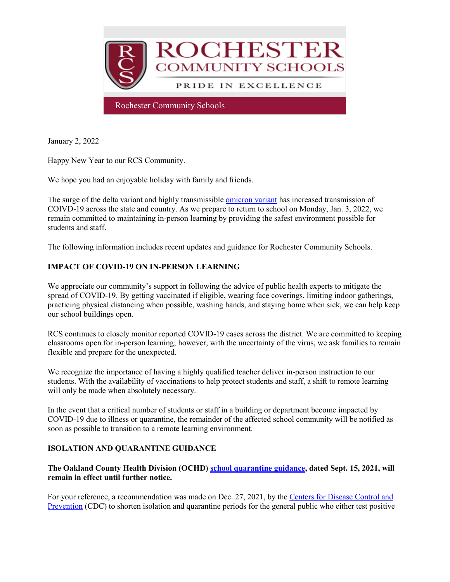

January 2, 2022

Happy New Year to our RCS Community.

We hope you had an enjoyable holiday with family and friends.

The surge of the delta variant and highly transmissible [omicron variant](http://track.spe.schoolmessenger.com/f/a/iogio5t2KPUo7WYxxOZZQA%7E%7E/AAAAAQA%7E/RgRjszJMP0RHaHR0cHM6Ly93d3cuY2RjLmdvdi9jb3JvbmF2aXJ1cy8yMDE5LW5jb3YvdmFyaWFudHMvb21pY3Jvbi12YXJpYW50Lmh0bWxXB3NjaG9vbG1CCmG7zP7RYTlB7QZSG3NhaGVhcm5Acm9jaGVzdGVyLmsxMi5taS51c1gEAAAAAQ%7E%7E) has increased transmission of COIVD-19 across the state and country. As we prepare to return to school on Monday, Jan. 3, 2022, we remain committed to maintaining in-person learning by providing the safest environment possible for students and staff.

The following information includes recent updates and guidance for Rochester Community Schools.

# **IMPACT OF COVID-19 ON IN-PERSON LEARNING**

We appreciate our community's support in following the advice of public health experts to mitigate the spread of COVID-19. By getting vaccinated if eligible, wearing face coverings, limiting indoor gatherings, practicing physical distancing when possible, washing hands, and staying home when sick, we can help keep our school buildings open.

RCS continues to closely monitor reported COVID-19 cases across the district. We are committed to keeping classrooms open for in-person learning; however, with the uncertainty of the virus, we ask families to remain flexible and prepare for the unexpected.

We recognize the importance of having a highly qualified teacher deliver in-person instruction to our students. With the availability of vaccinations to help protect students and staff, a shift to remote learning will only be made when absolutely necessary.

In the event that a critical number of students or staff in a building or department become impacted by COVID-19 due to illness or quarantine, the remainder of the affected school community will be notified as soon as possible to transition to a remote learning environment.

### **ISOLATION AND QUARANTINE GUIDANCE**

#### **The Oakland County Health Division (OCHD) [school quarantine guidance,](http://track.spe.schoolmessenger.com/f/a/8TRZU4jAcUIN9c_d2xaddw%7E%7E/AAAAAQA%7E/RgRjszJMP0RraHR0cHM6Ly93d3cub2FrZ292LmNvbS9jb3ZpZC9yZXNvdXJjZXMvZWR1Y2F0aW9uL0RvY3VtZW50cy9DVjE5JTIwUXVhcmFudGluZSUyMFJlY29tbWVuZGF0aW9uJTIwSGFuZG91dC5wZGZXB3NjaG9vbG1CCmG7zP7RYTlB7QZSG3NhaGVhcm5Acm9jaGVzdGVyLmsxMi5taS51c1gEAAAAAQ%7E%7E) dated Sept. 15, 2021, will remain in effect until further notice.**

For your reference, a recommendation was made on Dec. 27, 2021, by the [Centers for Disease Control and](http://track.spe.schoolmessenger.com/f/a/DVAPGAIPISt6ukIiWPpFKg%7E%7E/AAAAAQA%7E/RgRjszJMP0RQaHR0cHM6Ly93d3cuY2RjLmdvdi9tZWRpYS9yZWxlYXNlcy8yMDIxL3MxMjI3LWlzb2xhdGlvbi1xdWFyYW50aW5lLWd1aWRhbmNlLmh0bWxXB3NjaG9vbG1CCmG7zP7RYTlB7QZSG3NhaGVhcm5Acm9jaGVzdGVyLmsxMi5taS51c1gEAAAAAQ%7E%7E)  [Prevention](http://track.spe.schoolmessenger.com/f/a/DVAPGAIPISt6ukIiWPpFKg%7E%7E/AAAAAQA%7E/RgRjszJMP0RQaHR0cHM6Ly93d3cuY2RjLmdvdi9tZWRpYS9yZWxlYXNlcy8yMDIxL3MxMjI3LWlzb2xhdGlvbi1xdWFyYW50aW5lLWd1aWRhbmNlLmh0bWxXB3NjaG9vbG1CCmG7zP7RYTlB7QZSG3NhaGVhcm5Acm9jaGVzdGVyLmsxMi5taS51c1gEAAAAAQ%7E%7E) (CDC) to shorten isolation and quarantine periods for the general public who either test positive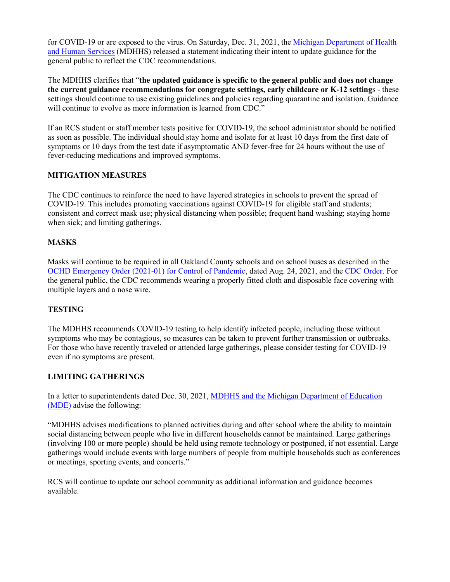for COVID-19 or are exposed to the virus. On Saturday, Dec. 31, 2021, the [Michigan Department of Health](http://track.spe.schoolmessenger.com/f/a/7EODUgyOmbAbY-gRaDU3zQ%7E%7E/AAAAAQA%7E/RgRjszJMP0RIaHR0cHM6Ly93d3cubWljaGlnYW4uZ292L2Nvcm9uYXZpcnVzLzAsOTc1Myw3LTQwNi05ODE1OC01NzQ3MTUtLSwwMC5odG1sVwdzY2hvb2xtQgphu8z-0WE5Qe0GUhtzYWhlYXJuQHJvY2hlc3Rlci5rMTIubWkudXNYBAAAAAE%7E)  [and Human Services](http://track.spe.schoolmessenger.com/f/a/7EODUgyOmbAbY-gRaDU3zQ%7E%7E/AAAAAQA%7E/RgRjszJMP0RIaHR0cHM6Ly93d3cubWljaGlnYW4uZ292L2Nvcm9uYXZpcnVzLzAsOTc1Myw3LTQwNi05ODE1OC01NzQ3MTUtLSwwMC5odG1sVwdzY2hvb2xtQgphu8z-0WE5Qe0GUhtzYWhlYXJuQHJvY2hlc3Rlci5rMTIubWkudXNYBAAAAAE%7E) (MDHHS) released a statement indicating their intent to update guidance for the general public to reflect the CDC recommendations.

The MDHHS clarifies that "**the updated guidance is specific to the general public and does not change the current guidance recommendations for congregate settings, early childcare or K-12 setting**s - these settings should continue to use existing guidelines and policies regarding quarantine and isolation. Guidance will continue to evolve as more information is learned from CDC."

If an RCS student or staff member tests positive for COVID-19, the school administrator should be notified as soon as possible. The individual should stay home and isolate for at least 10 days from the first date of symptoms or 10 days from the test date if asymptomatic AND fever-free for 24 hours without the use of fever-reducing medications and improved symptoms.

### **MITIGATION MEASURES**

The CDC continues to reinforce the need to have layered strategies in schools to prevent the spread of COVID-19. This includes promoting vaccinations against COVID-19 for eligible staff and students; consistent and correct mask use; physical distancing when possible; frequent hand washing; staying home when sick; and limiting gatherings.

# **MASKS**

Masks will continue to be required in all Oakland County schools and on school buses as described in the [OCHD Emergency Order \(2021-01\) for Control of Pandemic,](http://track.spe.schoolmessenger.com/f/a/LiZlHI2hKZWMO-ltFFD01w%7E%7E/AAAAAQA%7E/RgRjszJMP0RiaHR0cHM6Ly93d3cub2FrZ292LmNvbS9jb3ZpZC9oZWFsdGhvcmRlcnMvSGVhbHRoJTIwT3JkZXIlMjA4LjI0LjIxJTIwZmFjZSUyMGNvdmVyaW5nJTIwMjAyMS0wMS5wZGZXB3NjaG9vbG1CCmG7zP7RYTlB7QZSG3NhaGVhcm5Acm9jaGVzdGVyLmsxMi5taS51c1gEAAAAAQ%7E%7E) dated Aug. 24, 2021, and the [CDC Order.](http://track.spe.schoolmessenger.com/f/a/jUjqYG19zDHbLzydjzbhmg%7E%7E/AAAAAQA%7E/RgRjszJMP0Q-aHR0cHM6Ly93d3cuY2RjLmdvdi9xdWFyYW50aW5lL21hc2tzL21hc2stdHJhdmVsLWd1aWRhbmNlLmh0bWxXB3NjaG9vbG1CCmG7zP7RYTlB7QZSG3NhaGVhcm5Acm9jaGVzdGVyLmsxMi5taS51c1gEAAAAAQ%7E%7E) For the general public, the CDC recommends wearing a properly fitted cloth and disposable face covering with multiple layers and a nose wire.

### **TESTING**

The MDHHS recommends COVID-19 testing to help identify infected people, including those without symptoms who may be contagious, so measures can be taken to prevent further transmission or outbreaks. For those who have recently traveled or attended large gatherings, please consider testing for COVID-19 even if no symptoms are present.

### **LIMITING GATHERINGS**

In a letter to superintendents dated Dec. 30, 2021[, MDHHS and the Michigan Department of Education](http://track.spe.schoolmessenger.com/f/a/E33qpqQ-Y4X4p6Uke8LKrw%7E%7E/AAAAAQA%7E/RgRjszJMP0SxaHR0cHM6Ly93d3cubWljaGlnYW4uZ292L2Nvcm9uYXZpcnVzLzAsOTc1Myw3LTQwNi05ODE1OC01NzQ3MTEtLSwwMC5odG1sIzp-OnRleHQ9JTJEJTIwVGhlJTIwTWljaGlnYW4lMjBEZXBhcnRtZW50JTIwb2YlMjBIZWFsdGgsYW50aWNpcGF0aW9uJTIwb2YlMjB0aGUlMjBoaWdobHklMjB0cmFuc21pc3NpYmxlVwdzY2hvb2xtQgphu8z-0WE5Qe0GUhtzYWhlYXJuQHJvY2hlc3Rlci5rMTIubWkudXNYBAAAAAE%7E)  [\(MDE\)](http://track.spe.schoolmessenger.com/f/a/E33qpqQ-Y4X4p6Uke8LKrw%7E%7E/AAAAAQA%7E/RgRjszJMP0SxaHR0cHM6Ly93d3cubWljaGlnYW4uZ292L2Nvcm9uYXZpcnVzLzAsOTc1Myw3LTQwNi05ODE1OC01NzQ3MTEtLSwwMC5odG1sIzp-OnRleHQ9JTJEJTIwVGhlJTIwTWljaGlnYW4lMjBEZXBhcnRtZW50JTIwb2YlMjBIZWFsdGgsYW50aWNpcGF0aW9uJTIwb2YlMjB0aGUlMjBoaWdobHklMjB0cmFuc21pc3NpYmxlVwdzY2hvb2xtQgphu8z-0WE5Qe0GUhtzYWhlYXJuQHJvY2hlc3Rlci5rMTIubWkudXNYBAAAAAE%7E) advise the following:

"MDHHS advises modifications to planned activities during and after school where the ability to maintain social distancing between people who live in different households cannot be maintained. Large gatherings (involving 100 or more people) should be held using remote technology or postponed, if not essential. Large gatherings would include events with large numbers of people from multiple households such as conferences or meetings, sporting events, and concerts."

RCS will continue to update our school community as additional information and guidance becomes available.